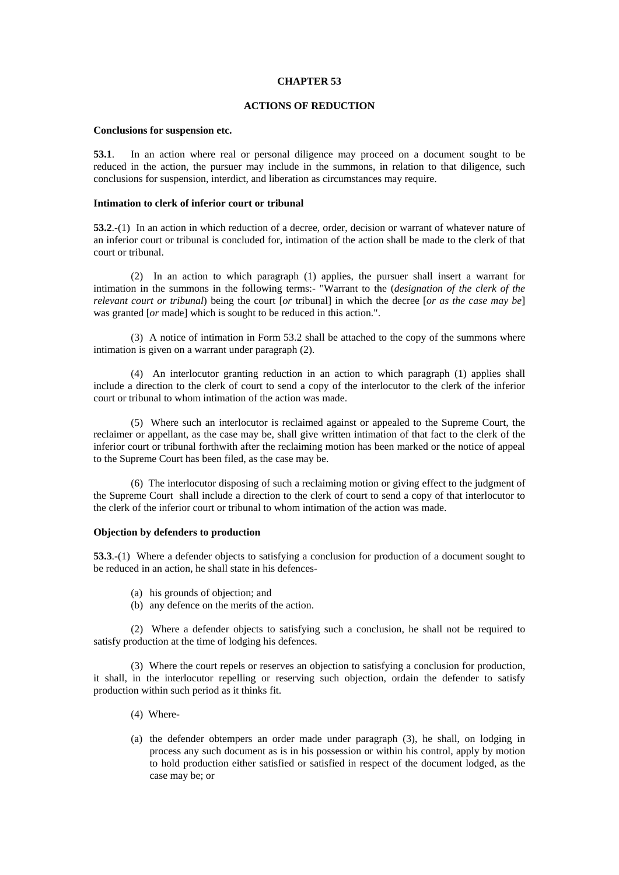## **CHAPTER 53**

# **ACTIONS OF REDUCTION**

#### **Conclusions for suspension etc.**

**53.1**. In an action where real or personal diligence may proceed on a document sought to be reduced in the action, the pursuer may include in the summons, in relation to that diligence, such conclusions for suspension, interdict, and liberation as circumstances may require.

### **Intimation to clerk of inferior court or tribunal**

**53.2**.-(1) In an action in which reduction of a decree, order, decision or warrant of whatever nature of an inferior court or tribunal is concluded for, intimation of the action shall be made to the clerk of that court or tribunal.

 (2) In an action to which paragraph (1) applies, the pursuer shall insert a warrant for intimation in the summons in the following terms:- "Warrant to the (*designation of the clerk of the relevant court or tribunal*) being the court [*or* tribunal] in which the decree [*or as the case may be*] was granted [*or* made] which is sought to be reduced in this action.".

 (3) A notice of intimation in Form 53.2 shall be attached to the copy of the summons where intimation is given on a warrant under paragraph (2).

 (4) An interlocutor granting reduction in an action to which paragraph (1) applies shall include a direction to the clerk of court to send a copy of the interlocutor to the clerk of the inferior court or tribunal to whom intimation of the action was made.

 (5) Where such an interlocutor is reclaimed against or appealed to the Supreme Court, the reclaimer or appellant, as the case may be, shall give written intimation of that fact to the clerk of the inferior court or tribunal forthwith after the reclaiming motion has been marked or the notice of appeal to the Supreme Court has been filed, as the case may be.

 (6) The interlocutor disposing of such a reclaiming motion or giving effect to the judgment of the Supreme Court shall include a direction to the clerk of court to send a copy of that interlocutor to the clerk of the inferior court or tribunal to whom intimation of the action was made.

#### **Objection by defenders to production**

**53.3**.-(1) Where a defender objects to satisfying a conclusion for production of a document sought to be reduced in an action, he shall state in his defences-

- (a) his grounds of objection; and
- (b) any defence on the merits of the action.

 (2) Where a defender objects to satisfying such a conclusion, he shall not be required to satisfy production at the time of lodging his defences.

 (3) Where the court repels or reserves an objection to satisfying a conclusion for production, it shall, in the interlocutor repelling or reserving such objection, ordain the defender to satisfy production within such period as it thinks fit.

- (4) Where-
- (a) the defender obtempers an order made under paragraph (3), he shall, on lodging in process any such document as is in his possession or within his control, apply by motion to hold production either satisfied or satisfied in respect of the document lodged, as the case may be; or